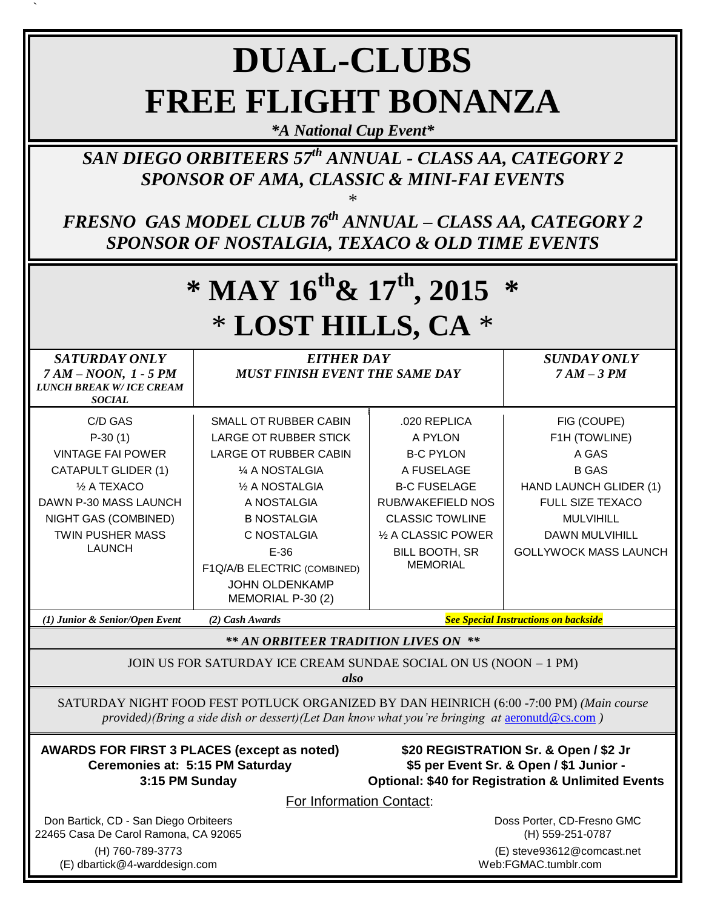# **DUAL-CLUBS FREE FLIGHT BONANZA**

`

*\*A National Cup Event\**

*SAN DIEGO ORBITEERS 57 th ANNUAL - CLASS AA, CATEGORY 2 SPONSOR OF AMA, CLASSIC & MINI-FAI EVENTS*

*FRESNO GAS MODEL CLUB 76 th ANNUAL – CLASS AA, CATEGORY 2 SPONSOR OF NOSTALGIA, TEXACO & OLD TIME EVENTS*

\*

| * MAY $16^{th}$ & $17^{th}$ , 2015<br>* LOST HILLS, CA *                                                                                                                                                                                                                                        |                                                                                                                                                                                                                                                                        |                                                                                                                                                                                                    |                                                                                                                                                                                         |
|-------------------------------------------------------------------------------------------------------------------------------------------------------------------------------------------------------------------------------------------------------------------------------------------------|------------------------------------------------------------------------------------------------------------------------------------------------------------------------------------------------------------------------------------------------------------------------|----------------------------------------------------------------------------------------------------------------------------------------------------------------------------------------------------|-----------------------------------------------------------------------------------------------------------------------------------------------------------------------------------------|
| SATURDAY ONLY<br>$7AM-NOON, 1 - 5 PM$<br><b>LUNCH BREAK W/ ICE CREAM</b><br><b>SOCIAL</b>                                                                                                                                                                                                       | <b>EITHER DAY</b><br><b>MUST FINISH EVENT THE SAME DAY</b>                                                                                                                                                                                                             |                                                                                                                                                                                                    | <b>SUNDAY ONLY</b><br>$7AM-3PM$                                                                                                                                                         |
| C/D GAS<br>$P-30(1)$<br><b>VINTAGE FAI POWER</b><br><b>CATAPULT GLIDER (1)</b><br>1/2 A TEXACO<br>DAWN P-30 MASS LAUNCH<br>NIGHT GAS (COMBINED)<br><b>TWIN PUSHER MASS</b><br><b>LAUNCH</b>                                                                                                     | SMALL OT RUBBER CABIN<br><b>LARGE OT RUBBER STICK</b><br><b>LARGE OT RUBBER CABIN</b><br>1/4 A NOSTALGIA<br>1/2 A NOSTALGIA<br>A NOSTALGIA<br><b>B NOSTALGIA</b><br>C NOSTALGIA<br>$E-36$<br>F1Q/A/B ELECTRIC (COMBINED)<br><b>JOHN OLDENKAMP</b><br>MEMORIAL P-30 (2) | .020 REPLICA<br>A PYLON<br><b>B-C PYLON</b><br>A FUSELAGE<br><b>B-C FUSELAGE</b><br><b>RUB/WAKEFIELD NOS</b><br><b>CLASSIC TOWLINE</b><br>1/2 A CLASSIC POWER<br>BILL BOOTH, SR<br><b>MEMORIAL</b> | FIG (COUPE)<br>F1H (TOWLINE)<br>A GAS<br><b>B GAS</b><br>HAND LAUNCH GLIDER (1)<br><b>FULL SIZE TEXACO</b><br><b>MULVIHILL</b><br><b>DAWN MULVIHILL</b><br><b>GOLLYWOCK MASS LAUNCH</b> |
| <b>See Special Instructions on backside</b><br>(1) Junior & Senior/Open Event<br>(2) Cash Awards                                                                                                                                                                                                |                                                                                                                                                                                                                                                                        |                                                                                                                                                                                                    |                                                                                                                                                                                         |
| ** AN ORBITEER TRADITION LIVES ON **<br>JOIN US FOR SATURDAY ICE CREAM SUNDAE SOCIAL ON US (NOON - 1 PM)<br>also                                                                                                                                                                                |                                                                                                                                                                                                                                                                        |                                                                                                                                                                                                    |                                                                                                                                                                                         |
| SATURDAY NIGHT FOOD FEST POTLUCK ORGANIZED BY DAN HEINRICH (6:00 -7:00 PM) (Main course<br>provided)(Bring a side dish or dessert)(Let Dan know what you're bringing at $\arctan\theta$ es.com)                                                                                                 |                                                                                                                                                                                                                                                                        |                                                                                                                                                                                                    |                                                                                                                                                                                         |
| <b>AWARDS FOR FIRST 3 PLACES (except as noted)</b><br>\$20 REGISTRATION Sr. & Open / \$2 Jr<br><b>Ceremonies at: 5:15 PM Saturday</b><br>\$5 per Event Sr. & Open / \$1 Junior -<br><b>Optional: \$40 for Registration &amp; Unlimited Events</b><br>3:15 PM Sunday<br>For Information Contact: |                                                                                                                                                                                                                                                                        |                                                                                                                                                                                                    |                                                                                                                                                                                         |
| Don Bartick, CD - San Diego Orbiteers<br>22465 Casa De Carol Ramona, CA 92065<br>(H) 760-789-3773<br>(E) dbartick@4-warddesign.com                                                                                                                                                              |                                                                                                                                                                                                                                                                        | Doss Porter, CD-Fresno GMC<br>(H) 559-251-0787<br>(E) steve93612@comcast.net<br>Web:FGMAC.tumblr.com                                                                                               |                                                                                                                                                                                         |